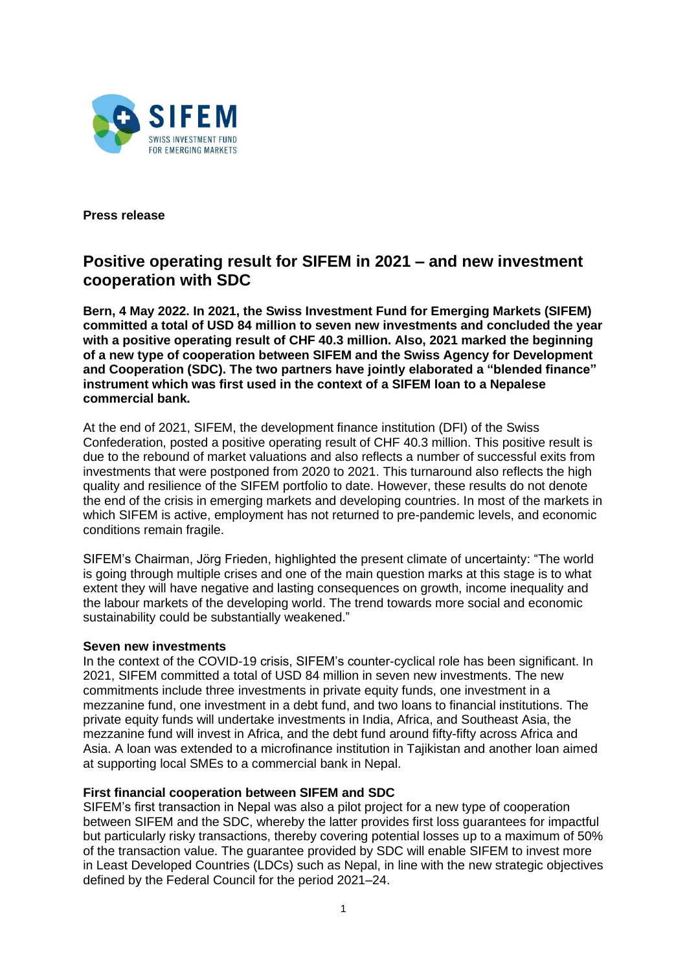

**Press release**

## **Positive operating result for SIFEM in 2021 – and new investment cooperation with SDC**

**Bern, 4 May 2022. In 2021, the Swiss Investment Fund for Emerging Markets (SIFEM) committed a total of USD 84 million to seven new investments and concluded the year with a positive operating result of CHF 40.3 million. Also, 2021 marked the beginning of a new type of cooperation between SIFEM and the Swiss Agency for Development and Cooperation (SDC). The two partners have jointly elaborated a "blended finance" instrument which was first used in the context of a SIFEM loan to a Nepalese commercial bank.** 

At the end of 2021, SIFEM, the development finance institution (DFI) of the Swiss Confederation, posted a positive operating result of CHF 40.3 million. This positive result is due to the rebound of market valuations and also reflects a number of successful exits from investments that were postponed from 2020 to 2021. This turnaround also reflects the high quality and resilience of the SIFEM portfolio to date. However, these results do not denote the end of the crisis in emerging markets and developing countries. In most of the markets in which SIFEM is active, employment has not returned to pre-pandemic levels, and economic conditions remain fragile.

SIFEM's Chairman, Jörg Frieden, highlighted the present climate of uncertainty: "The world is going through multiple crises and one of the main question marks at this stage is to what extent they will have negative and lasting consequences on growth, income inequality and the labour markets of the developing world. The trend towards more social and economic sustainability could be substantially weakened."

## **Seven new investments**

In the context of the COVID-19 crisis, SIFEM's counter-cyclical role has been significant. In 2021, SIFEM committed a total of USD 84 million in seven new investments. The new commitments include three investments in private equity funds, one investment in a mezzanine fund, one investment in a debt fund, and two loans to financial institutions. The private equity funds will undertake investments in India, Africa, and Southeast Asia, the mezzanine fund will invest in Africa, and the debt fund around fifty-fifty across Africa and Asia. A loan was extended to a microfinance institution in Tajikistan and another loan aimed at supporting local SMEs to a commercial bank in Nepal.

## **First financial cooperation between SIFEM and SDC**

SIFEM's first transaction in Nepal was also a pilot project for a new type of cooperation between SIFEM and the SDC, whereby the latter provides first loss guarantees for impactful but particularly risky transactions, thereby covering potential losses up to a maximum of 50% of the transaction value. The guarantee provided by SDC will enable SIFEM to invest more in Least Developed Countries (LDCs) such as Nepal, in line with the new strategic objectives defined by the Federal Council for the period 2021–24.